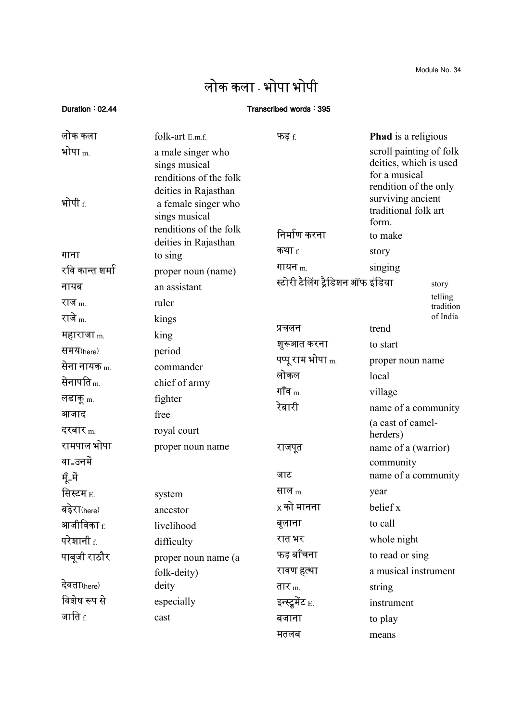Module No. 34

## लोक कला - भोपा भोपी

## Duration : 02.44 Transcribed words : 395

| लोक कला                              | folk-art E.m.f.                                                                                                                                        | फड़ $f$                                   | <b>Phad</b> is a religious                                                                                                                                   |
|--------------------------------------|--------------------------------------------------------------------------------------------------------------------------------------------------------|-------------------------------------------|--------------------------------------------------------------------------------------------------------------------------------------------------------------|
| भोपा $_{\rm m}$<br>भोपी $_{\rm f.}$  | a male singer who<br>sings musical<br>renditions of the folk<br>deities in Rajasthan<br>a female singer who<br>sings musical<br>renditions of the folk | निर्माण करना                              | scroll painting of folk<br>deities, which is used<br>for a musical<br>rendition of the only<br>surviving ancient<br>traditional folk art<br>form.<br>to make |
|                                      | deities in Rajasthan                                                                                                                                   | कथा $_{\rm f.}$                           | story                                                                                                                                                        |
| गाना<br>रवि कान्त शर्मा              | to sing                                                                                                                                                | गायन $m$                                  | singing                                                                                                                                                      |
| नायब                                 | proper noun (name)<br>an assistant                                                                                                                     | स्टोरी टैलिंग ट्रैडिशन ऑफ इंडिया<br>story |                                                                                                                                                              |
| राज $m$                              | ruler                                                                                                                                                  |                                           | telling<br>tradition                                                                                                                                         |
| राजे <sub>m.</sub>                   | kings                                                                                                                                                  | प्रचलन                                    | of India<br>trend                                                                                                                                            |
| महाराजा <sub>m.</sub>                | king                                                                                                                                                   | शुरूआत करना                               | to start                                                                                                                                                     |
| समय(here)                            | period                                                                                                                                                 | पप्पू राम भोपा <sub>m.</sub>              | proper noun name                                                                                                                                             |
| सेना नायक <sub>m.</sub>              | commander                                                                                                                                              | लोकल                                      | local                                                                                                                                                        |
| सेनापति <sub>m.</sub>                | chief of army                                                                                                                                          | गॉव $_{\rm m}$                            | village                                                                                                                                                      |
| लडाकू <sub>m.</sub>                  | fighter                                                                                                                                                | रेबारी                                    | name of a community                                                                                                                                          |
| आजाद                                 | free                                                                                                                                                   |                                           | (a cast of camel-                                                                                                                                            |
| दरबार $_{\rm m}$                     | royal court                                                                                                                                            |                                           | herders)                                                                                                                                                     |
| रामपाल भोपा<br>वा <sub>=</sub> उनमें | proper noun name                                                                                                                                       | राजपूत                                    | name of a (warrior)<br>community                                                                                                                             |
| मूँ=में                              |                                                                                                                                                        | जाट                                       | name of a community                                                                                                                                          |
| सिस्टम <sub>E.</sub>                 | system                                                                                                                                                 | साल $_{\rm m}$                            | year                                                                                                                                                         |
| बढ़ेरा(here)                         | ancestor                                                                                                                                               | $\times$ को मानना                         | belief x                                                                                                                                                     |
| आजीविका <sub>f.</sub>                | livelihood                                                                                                                                             | बुलाना                                    | to call                                                                                                                                                      |
| परेशानी <sub>f.</sub>                | difficulty                                                                                                                                             | रात भर                                    | whole night                                                                                                                                                  |
| पाबूजी राठौर                         | proper noun name (a                                                                                                                                    | फड़ बॉंचना                                | to read or sing                                                                                                                                              |
|                                      | folk-deity)                                                                                                                                            | रावण हत्था                                | a musical instrument                                                                                                                                         |
| देवता(here)                          | deity                                                                                                                                                  | तार $_m$                                  | string                                                                                                                                                       |
| विशेष रूप से                         | especially                                                                                                                                             | इन्स्ट्रूमेंट E.                          | instrument                                                                                                                                                   |
| जाति $_{\rm f.}$                     | cast                                                                                                                                                   | बजाना                                     | to play                                                                                                                                                      |
|                                      |                                                                                                                                                        | मतलब                                      | means                                                                                                                                                        |